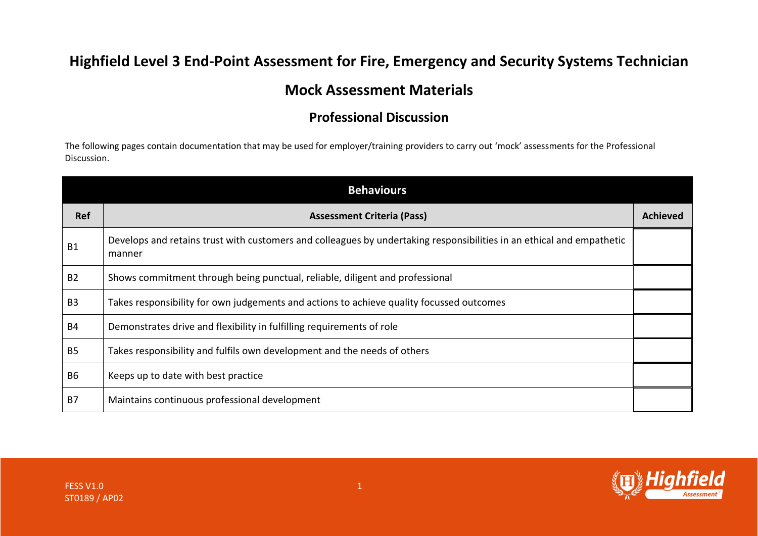## **Highfield Level 3 End-Point Assessment for Fire, Emergency and Security Systems Technician**

## **Mock Assessment Materials**

## **Professional Discussion**

The following pages contain documentation that may be used for employer/training providers to carry out 'mock' assessments for the Professional Discussion.

| <b>Behaviours</b> |                                                                                                                                 |                 |  |
|-------------------|---------------------------------------------------------------------------------------------------------------------------------|-----------------|--|
| Ref               | <b>Assessment Criteria (Pass)</b>                                                                                               | <b>Achieved</b> |  |
| <b>B1</b>         | Develops and retains trust with customers and colleagues by undertaking responsibilities in an ethical and empathetic<br>manner |                 |  |
| <b>B2</b>         | Shows commitment through being punctual, reliable, diligent and professional                                                    |                 |  |
| B <sub>3</sub>    | Takes responsibility for own judgements and actions to achieve quality focussed outcomes                                        |                 |  |
| <b>B4</b>         | Demonstrates drive and flexibility in fulfilling requirements of role                                                           |                 |  |
| <b>B5</b>         | Takes responsibility and fulfils own development and the needs of others                                                        |                 |  |
| <b>B6</b>         | Keeps up to date with best practice                                                                                             |                 |  |
| <b>B7</b>         | Maintains continuous professional development                                                                                   |                 |  |